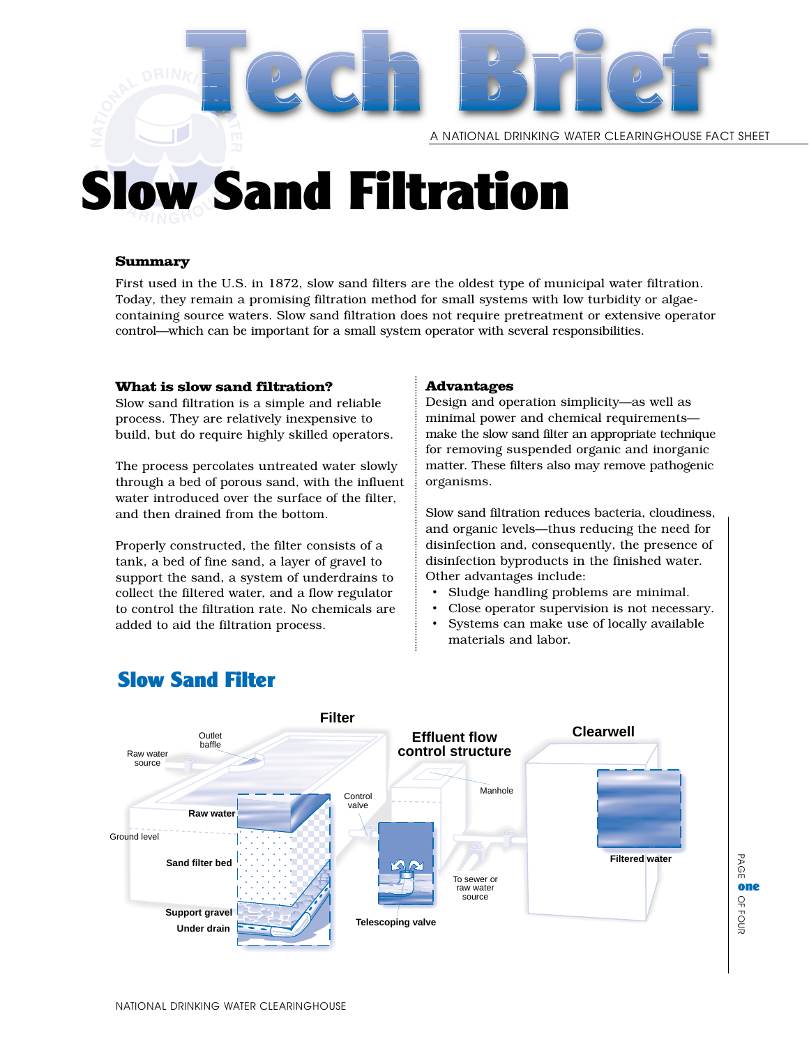A NATIONAL DRINKING WATER CLEARINGHOUSE FACT SHEET

# Slow Sand Filtration

#### Summary

First used in the U.S. in 1872, slow sand filters are the oldest type of municipal water filtration. Today, they remain a promising filtration method for small systems with low turbidity or algaecontaining source waters. Slow sand filtration does not require pretreatment or extensive operator control—which can be important for a small system operator with several responsibilities.

#### What is slow sand filtration?

Slow sand filtration is a simple and reliable process. They are relatively inexpensive to build, but do require highly skilled operators.

The process percolates untreated water slowly through a bed of porous sand, with the influent water introduced over the surface of the filter, and then drained from the bottom.

Properly constructed, the filter consists of a tank, a bed of fine sand, a layer of gravel to support the sand, a system of underdrains to collect the filtered water, and a flow regulator to control the filtration rate. No chemicals are added to aid the filtration process.

#### Advantages

Design and operation simplicity—as well as minimal power and chemical requirements make the slow sand filter an appropriate technique for removing suspended organic and inorganic matter. These filters also may remove pathogenic organisms.

Slow sand filtration reduces bacteria, cloudiness, and organic levels—thus reducing the need for disinfection and, consequently, the presence of disinfection byproducts in the finished water. Other advantages include:

- Sludge handling problems are minimal.
- Close operator supervision is not necessary.
- Systems can make use of locally available materials and labor.

PAGE OF

PAGE

one

FOUR



## Slow Sand Filter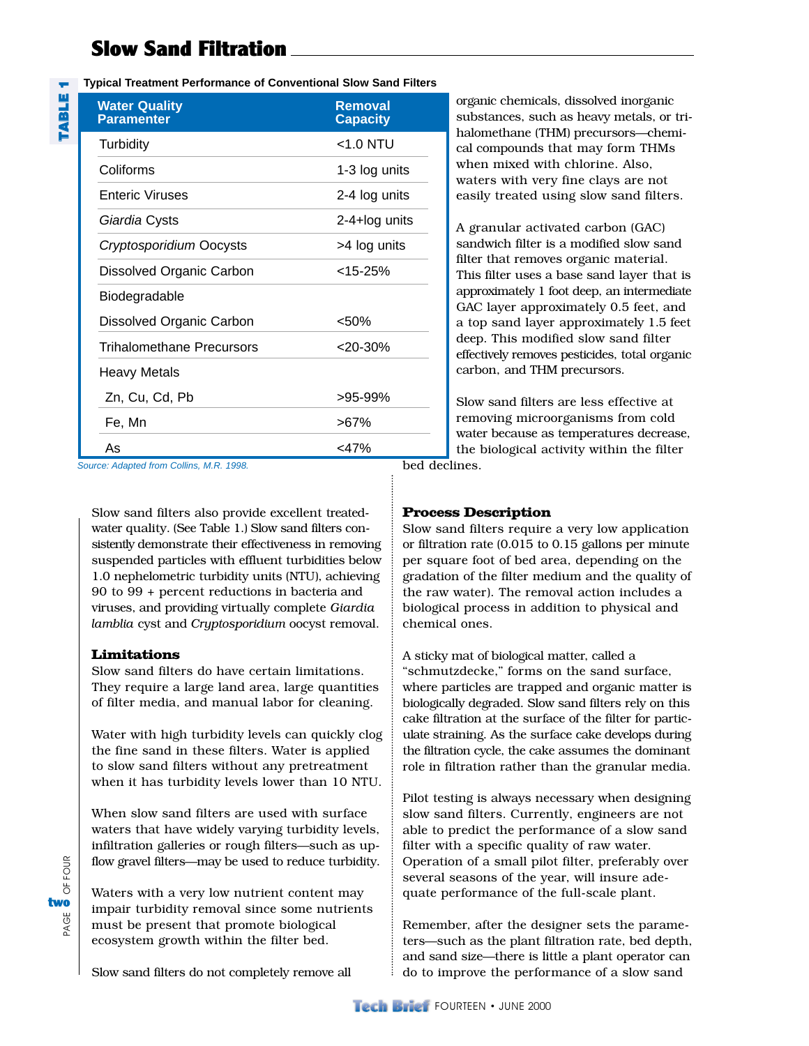## Slow Sand Filtration

**TABLE 1**

| <b>Typical Treatment Performance of Conventional Slow Sand Filters</b> |                                   |
|------------------------------------------------------------------------|-----------------------------------|
| <b>Water Quality</b><br><b>Paramenter</b>                              | <b>Removal</b><br><b>Capacity</b> |
| Turbidity                                                              | $<$ 1.0 NTU                       |

| Coliforms                        | 1-3 log units   |
|----------------------------------|-----------------|
| Enteric Viruses                  | 2-4 log units   |
| Giardia Cysts                    | $2-4+log$ units |
| Cryptosporidium Oocysts          | >4 log units    |
| Dissolved Organic Carbon         | $<$ 15-25%      |
| Biodegradable                    |                 |
|                                  |                 |
| Dissolved Organic Carbon         | $< 50\%$        |
| <b>Trihalomethane Precursors</b> | $< 20 - 30\%$   |
| Heavy Metals                     |                 |
| Zn, Cu, Cd, Pb                   | >95-99%         |
| Fe, Mn                           | $>67\%$         |

Source: Adapted from Collins, M.R. 1998.

Slow sand filters also provide excellent treatedwater quality. (See Table 1.) Slow sand filters consistently demonstrate their effectiveness in removing suspended particles with effluent turbidities below 1.0 nephelometric turbidity units (NTU), achieving 90 to 99 + percent reductions in bacteria and viruses, and providing virtually complete *Giardia lamblia* cyst and *Cryptosporidium* oocyst removal.

#### Limitations

Slow sand filters do have certain limitations. They require a large land area, large quantities of filter media, and manual labor for cleaning.

Water with high turbidity levels can quickly clog the fine sand in these filters. Water is applied to slow sand filters without any pretreatment when it has turbidity levels lower than 10 NTU.

When slow sand filters are used with surface waters that have widely varying turbidity levels, infiltration galleries or rough filters—such as upflow gravel filters—may be used to reduce turbidity.

Waters with a very low nutrient content may impair turbidity removal since some nutrients must be present that promote biological ecosystem growth within the filter bed.

organic chemicals, dissolved inorganic substances, such as heavy metals, or trihalomethane (THM) precursors—chemical compounds that may form THMs when mixed with chlorine. Also, waters with very fine clays are not easily treated using slow sand filters.

A granular activated carbon (GAC) sandwich filter is a modified slow sand filter that removes organic material. This filter uses a base sand layer that is approximately 1 foot deep, an intermediate GAC layer approximately 0.5 feet, and a top sand layer approximately 1.5 feet deep. This modified slow sand filter effectively removes pesticides, total organic carbon, and THM precursors.

Slow sand filters are less effective at removing microorganisms from cold water because as temperatures decrease, the biological activity within the filter

bed declines.

#### Process Description

Slow sand filters require a very low application or filtration rate (0.015 to 0.15 gallons per minute per square foot of bed area, depending on the gradation of the filter medium and the quality of the raw water). The removal action includes a biological process in addition to physical and chemical ones.

A sticky mat of biological matter, called a "schmutzdecke," forms on the sand surface, where particles are trapped and organic matter is biologically degraded. Slow sand filters rely on this cake filtration at the surface of the filter for particulate straining. As the surface cake develops during the filtration cycle, the cake assumes the dominant role in filtration rather than the granular media.

Pilot testing is always necessary when designing slow sand filters. Currently, engineers are not able to predict the performance of a slow sand filter with a specific quality of raw water. Operation of a small pilot filter, preferably over several seasons of the year, will insure adequate performance of the full-scale plant.

Remember, after the designer sets the parameters—such as the plant filtration rate, bed depth, and sand size—there is little a plant operator can do to improve the performance of a slow sand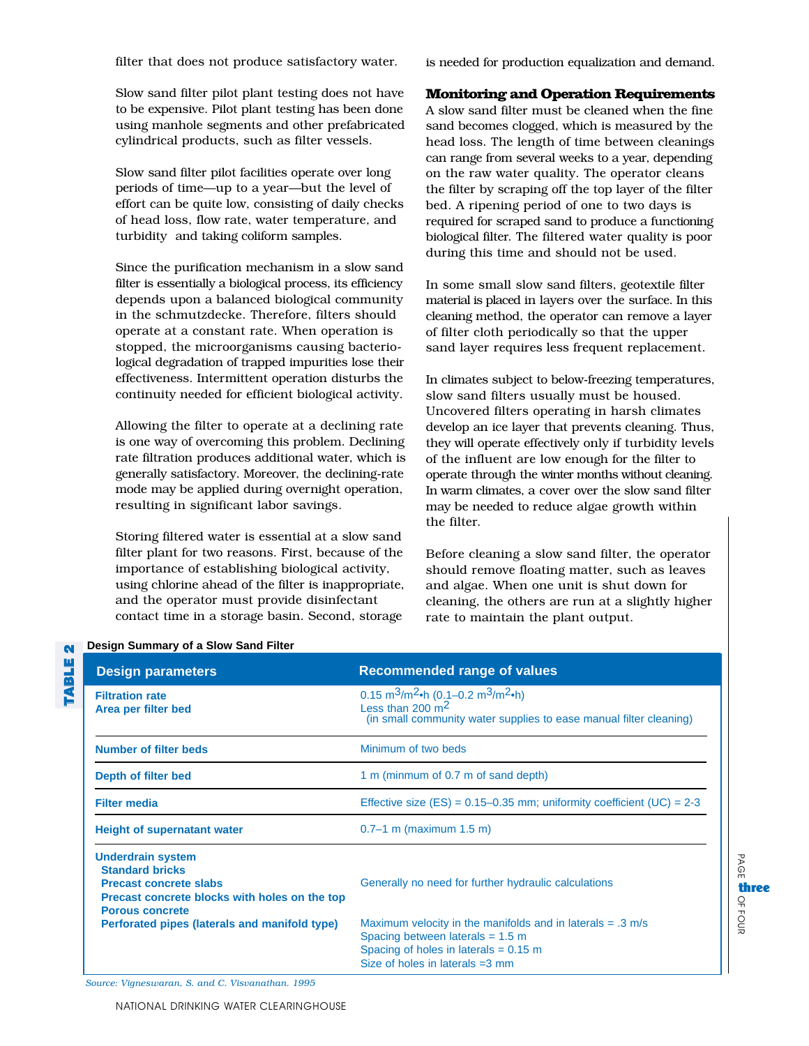filter that does not produce satisfactory water.

Slow sand filter pilot plant testing does not have to be expensive. Pilot plant testing has been done using manhole segments and other prefabricated cylindrical products, such as filter vessels.

Slow sand filter pilot facilities operate over long periods of time—up to a year—but the level of effort can be quite low, consisting of daily checks of head loss, flow rate, water temperature, and turbidity and taking coliform samples.

Since the purification mechanism in a slow sand filter is essentially a biological process, its efficiency depends upon a balanced biological community in the schmutzdecke. Therefore, filters should operate at a constant rate. When operation is stopped, the microorganisms causing bacteriological degradation of trapped impurities lose their effectiveness. Intermittent operation disturbs the continuity needed for efficient biological activity.

Allowing the filter to operate at a declining rate is one way of overcoming this problem. Declining rate filtration produces additional water, which is generally satisfactory. Moreover, the declining-rate mode may be applied during overnight operation, resulting in significant labor savings.

Storing filtered water is essential at a slow sand filter plant for two reasons. First, because of the importance of establishing biological activity, using chlorine ahead of the filter is inappropriate, and the operator must provide disinfectant contact time in a storage basin. Second, storage is needed for production equalization and demand.

#### Monitoring and Operation Requirements

A slow sand filter must be cleaned when the fine sand becomes clogged, which is measured by the head loss. The length of time between cleanings can range from several weeks to a year, depending on the raw water quality. The operator cleans the filter by scraping off the top layer of the filter bed. A ripening period of one to two days is required for scraped sand to produce a functioning biological filter. The filtered water quality is poor during this time and should not be used.

In some small slow sand filters, geotextile filter material is placed in layers over the surface. In this cleaning method, the operator can remove a layer of filter cloth periodically so that the upper sand layer requires less frequent replacement.

In climates subject to below-freezing temperatures, slow sand filters usually must be housed. Uncovered filters operating in harsh climates develop an ice layer that prevents cleaning. Thus, they will operate effectively only if turbidity levels of the influent are low enough for the filter to operate through the winter months without cleaning. In warm climates, a cover over the slow sand filter may be needed to reduce algae growth within the filter.

Before cleaning a slow sand filter, the operator should remove floating matter, such as leaves and algae. When one unit is shut down for cleaning, the others are run at a slightly higher rate to maintain the plant output.

| <b>Design parameters</b>                                                                                                                                       | <b>Recommended range of values</b>                                                                                                                                                         |
|----------------------------------------------------------------------------------------------------------------------------------------------------------------|--------------------------------------------------------------------------------------------------------------------------------------------------------------------------------------------|
| <b>Filtration rate</b><br>Area per filter bed                                                                                                                  | 0.15 m <sup>3</sup> /m <sup>2</sup> ·h (0.1–0.2 m <sup>3</sup> /m <sup>2</sup> ·h)<br>Less than 200 $\mathrm{m}^2$<br>(in small community water supplies to ease manual filter cleaning)   |
| Number of filter beds                                                                                                                                          | Minimum of two beds                                                                                                                                                                        |
| Depth of filter bed                                                                                                                                            | 1 m (minmum of 0.7 m of sand depth)                                                                                                                                                        |
| <b>Filter media</b>                                                                                                                                            | Effective size $(ES) = 0.15-0.35$ mm; uniformity coefficient $(UC) = 2-3$                                                                                                                  |
| <b>Height of supernatant water</b>                                                                                                                             | $0.7 - 1$ m (maximum 1.5 m)                                                                                                                                                                |
| <b>Underdrain system</b><br><b>Standard bricks</b><br><b>Precast concrete slabs</b><br>Precast concrete blocks with holes on the top<br><b>Porous concrete</b> | Generally no need for further hydraulic calculations                                                                                                                                       |
| Perforated pipes (laterals and manifold type)                                                                                                                  | Maximum velocity in the manifolds and in laterals = $.3 \text{ m/s}$<br>Spacing between laterals = $1.5$ m<br>Spacing of holes in laterals = $0.15$ m<br>Size of holes in laterals $=3$ mm |

#### **Design Summary of a Slow Sand Filter**

**TABL**

**E 2**

*Source: Vigneswaran, S. and C. Visvanathan. 1995*